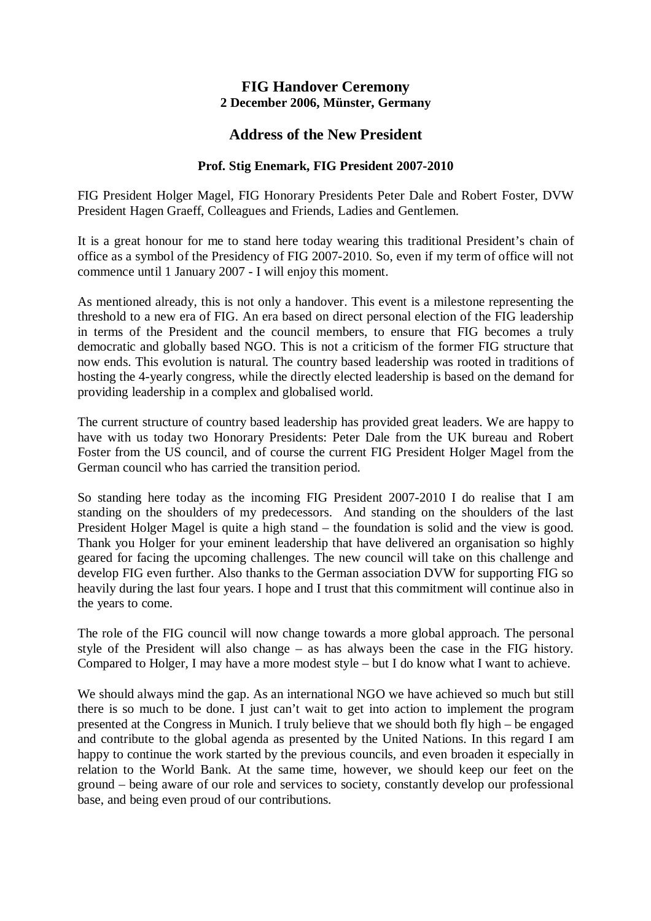## **FIG Handover Ceremony 2 December 2006, Münster, Germany**

## **Address of the New President**

## **Prof. Stig Enemark, FIG President 2007-2010**

FIG President Holger Magel, FIG Honorary Presidents Peter Dale and Robert Foster, DVW President Hagen Graeff, Colleagues and Friends, Ladies and Gentlemen.

It is a great honour for me to stand here today wearing this traditional President's chain of office as a symbol of the Presidency of FIG 2007-2010. So, even if my term of office will not commence until 1 January 2007 - I will enjoy this moment.

As mentioned already, this is not only a handover. This event is a milestone representing the threshold to a new era of FIG. An era based on direct personal election of the FIG leadership in terms of the President and the council members, to ensure that FIG becomes a truly democratic and globally based NGO. This is not a criticism of the former FIG structure that now ends. This evolution is natural. The country based leadership was rooted in traditions of hosting the 4-yearly congress, while the directly elected leadership is based on the demand for providing leadership in a complex and globalised world.

The current structure of country based leadership has provided great leaders. We are happy to have with us today two Honorary Presidents: Peter Dale from the UK bureau and Robert Foster from the US council, and of course the current FIG President Holger Magel from the German council who has carried the transition period.

So standing here today as the incoming FIG President 2007-2010 I do realise that I am standing on the shoulders of my predecessors. And standing on the shoulders of the last President Holger Magel is quite a high stand – the foundation is solid and the view is good. Thank you Holger for your eminent leadership that have delivered an organisation so highly geared for facing the upcoming challenges. The new council will take on this challenge and develop FIG even further. Also thanks to the German association DVW for supporting FIG so heavily during the last four years. I hope and I trust that this commitment will continue also in the years to come.

The role of the FIG council will now change towards a more global approach. The personal style of the President will also change – as has always been the case in the FIG history. Compared to Holger, I may have a more modest style – but I do know what I want to achieve.

We should always mind the gap. As an international NGO we have achieved so much but still there is so much to be done. I just can't wait to get into action to implement the program presented at the Congress in Munich. I truly believe that we should both fly high – be engaged and contribute to the global agenda as presented by the United Nations. In this regard I am happy to continue the work started by the previous councils, and even broaden it especially in relation to the World Bank. At the same time, however, we should keep our feet on the ground – being aware of our role and services to society, constantly develop our professional base, and being even proud of our contributions.